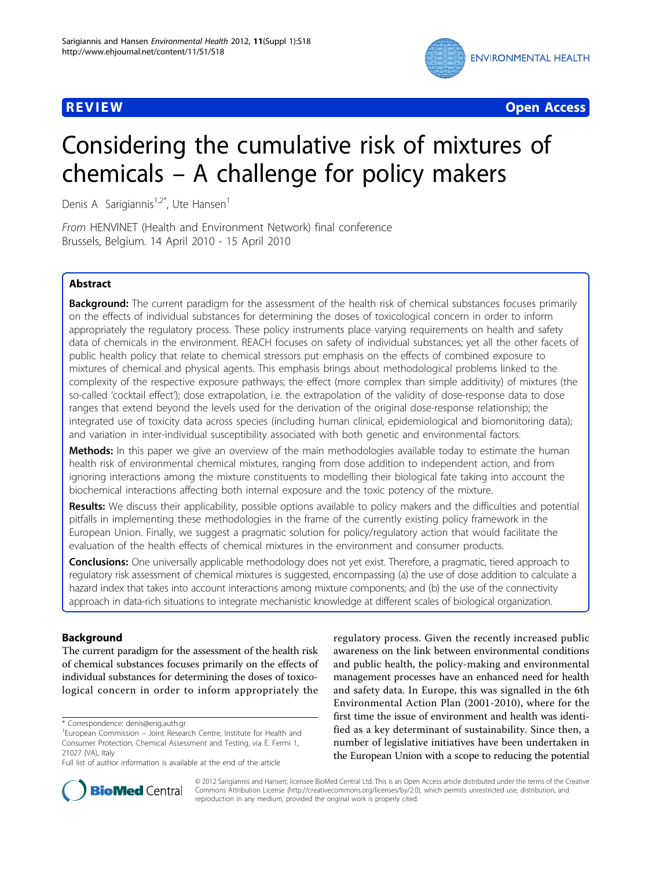

**REVIEW CONSTRUCTION CONSTRUCTION CONSTRUCTS** 

# Considering the cumulative risk of mixtures of chemicals – A challenge for policy makers

Denis A Sarigiannis<sup>1,2\*</sup>, Ute Hansen<sup>1</sup>

From HENVINET (Health and Environment Network) final conference Brussels, Belgium. 14 April 2010 - 15 April 2010

# Abstract

**Background:** The current paradigm for the assessment of the health risk of chemical substances focuses primarily on the effects of individual substances for determining the doses of toxicological concern in order to inform appropriately the regulatory process. These policy instruments place varying requirements on health and safety data of chemicals in the environment. REACH focuses on safety of individual substances; yet all the other facets of public health policy that relate to chemical stressors put emphasis on the effects of combined exposure to mixtures of chemical and physical agents. This emphasis brings about methodological problems linked to the complexity of the respective exposure pathways; the effect (more complex than simple additivity) of mixtures (the so-called 'cocktail effect'); dose extrapolation, i.e. the extrapolation of the validity of dose-response data to dose ranges that extend beyond the levels used for the derivation of the original dose-response relationship; the integrated use of toxicity data across species (including human clinical, epidemiological and biomonitoring data); and variation in inter-individual susceptibility associated with both genetic and environmental factors.

**Methods:** In this paper we give an overview of the main methodologies available today to estimate the human health risk of environmental chemical mixtures, ranging from dose addition to independent action, and from ignoring interactions among the mixture constituents to modelling their biological fate taking into account the biochemical interactions affecting both internal exposure and the toxic potency of the mixture.

Results: We discuss their applicability, possible options available to policy makers and the difficulties and potential pitfalls in implementing these methodologies in the frame of the currently existing policy framework in the European Union. Finally, we suggest a pragmatic solution for policy/regulatory action that would facilitate the evaluation of the health effects of chemical mixtures in the environment and consumer products.

**Conclusions:** One universally applicable methodology does not yet exist. Therefore, a pragmatic, tiered approach to regulatory risk assessment of chemical mixtures is suggested, encompassing (a) the use of dose addition to calculate a hazard index that takes into account interactions among mixture components; and (b) the use of the connectivity approach in data-rich situations to integrate mechanistic knowledge at different scales of biological organization.

# Background

The current paradigm for the assessment of the health risk of chemical substances focuses primarily on the effects of individual substances for determining the doses of toxicological concern in order to inform appropriately the

\* Correspondence: [denis@eng.auth.gr](mailto:denis@eng.auth.gr)

regulatory process. Given the recently increased public awareness on the link between environmental conditions and public health, the policy-making and environmental management processes have an enhanced need for health and safety data. In Europe, this was signalled in the 6th Environmental Action Plan (2001-2010), where for the first time the issue of environment and health was identified as a key determinant of sustainability. Since then, a number of legislative initiatives have been undertaken in the European Union with a scope to reducing the potential



© 2012 Sarigiannis and Hansen; licensee BioMed Central Ltd. This is an Open Access article distributed under the terms of the Creative Commons Attribution License [\(http://creativecommons.org/licenses/by/2.0](http://creativecommons.org/licenses/by/2.0)), which permits unrestricted use, distribution, and reproduction in any medium, provided the original work is properly cited.

<sup>&</sup>lt;sup>1</sup> European Commission - Joint Research Centre, Institute for Health and Consumer Protection, Chemical Assessment and Testing, via E. Fermi 1, 21027 (VA), Italy

Full list of author information is available at the end of the article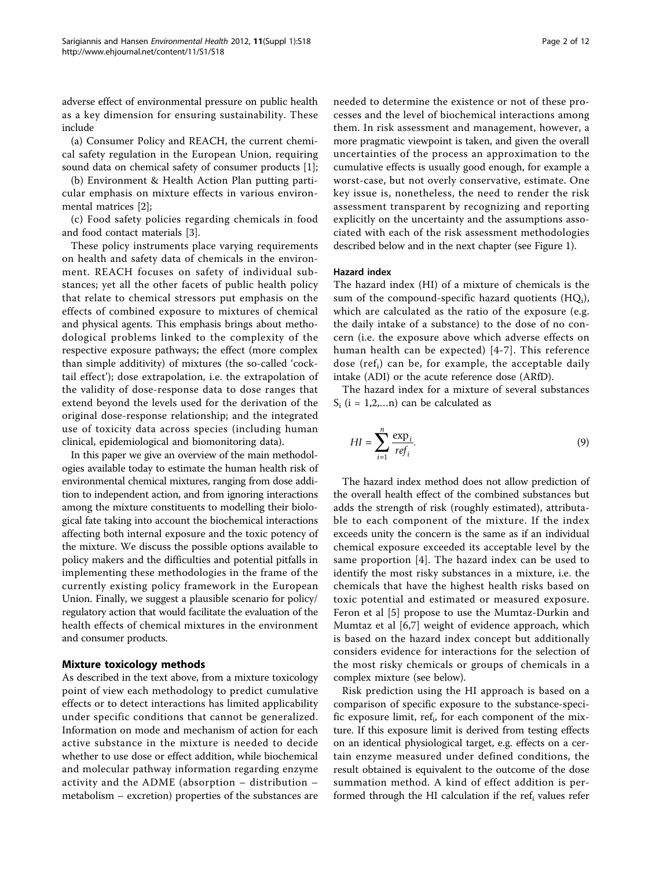adverse effect of environmental pressure on public health as a key dimension for ensuring sustainability. These include

(a) Consumer Policy and REACH, the current chemical safety regulation in the European Union, requiring sound data on chemical safety of consumer products [\[1](#page-10-0)];

(b) Environment & Health Action Plan putting particular emphasis on mixture effects in various environmental matrices [[2\]](#page-10-0);

(c) Food safety policies regarding chemicals in food and food contact materials [[3\]](#page-10-0).

These policy instruments place varying requirements on health and safety data of chemicals in the environment. REACH focuses on safety of individual substances; yet all the other facets of public health policy that relate to chemical stressors put emphasis on the effects of combined exposure to mixtures of chemical and physical agents. This emphasis brings about methodological problems linked to the complexity of the respective exposure pathways; the effect (more complex than simple additivity) of mixtures (the so-called 'cocktail effect'); dose extrapolation, i.e. the extrapolation of the validity of dose-response data to dose ranges that extend beyond the levels used for the derivation of the original dose-response relationship; and the integrated use of toxicity data across species (including human clinical, epidemiological and biomonitoring data).

In this paper we give an overview of the main methodologies available today to estimate the human health risk of environmental chemical mixtures, ranging from dose addition to independent action, and from ignoring interactions among the mixture constituents to modelling their biological fate taking into account the biochemical interactions affecting both internal exposure and the toxic potency of the mixture. We discuss the possible options available to policy makers and the difficulties and potential pitfalls in implementing these methodologies in the frame of the currently existing policy framework in the European Union. Finally, we suggest a plausible scenario for policy/ regulatory action that would facilitate the evaluation of the health effects of chemical mixtures in the environment and consumer products.

### Mixture toxicology methods

As described in the text above, from a mixture toxicology point of view each methodology to predict cumulative effects or to detect interactions has limited applicability under specific conditions that cannot be generalized. Information on mode and mechanism of action for each active substance in the mixture is needed to decide whether to use dose or effect addition, while biochemical and molecular pathway information regarding enzyme activity and the ADME (absorption – distribution – metabolism – excretion) properties of the substances are needed to determine the existence or not of these processes and the level of biochemical interactions among them. In risk assessment and management, however, a more pragmatic viewpoint is taken, and given the overall uncertainties of the process an approximation to the cumulative effects is usually good enough, for example a worst-case, but not overly conservative, estimate. One key issue is, nonetheless, the need to render the risk assessment transparent by recognizing and reporting explicitly on the uncertainty and the assumptions associated with each of the risk assessment methodologies described below and in the next chapter (see Figure [1\)](#page-2-0).

#### Hazard index

The hazard index (HI) of a mixture of chemicals is the sum of the compound-specific hazard quotients  $(HQ_i)$ , which are calculated as the ratio of the exposure (e.g. the daily intake of a substance) to the dose of no concern (i.e. the exposure above which adverse effects on human health can be expected) [[4-7\]](#page-10-0). This reference dose (ref<sub>i</sub>) can be, for example, the acceptable daily intake (ADI) or the acute reference dose (ARfD).

The hazard index for a mixture of several substances  $S_i$  (i = 1,2,...n) can be calculated as

$$
HI = \sum_{i=1}^{n} \frac{\exp_i}{ref_i}.
$$
 (9)

The hazard index method does not allow prediction of the overall health effect of the combined substances but adds the strength of risk (roughly estimated), attributable to each component of the mixture. If the index exceeds unity the concern is the same as if an individual chemical exposure exceeded its acceptable level by the same proportion [[4\]](#page-10-0). The hazard index can be used to identify the most risky substances in a mixture, i.e. the chemicals that have the highest health risks based on toxic potential and estimated or measured exposure. Feron et al [\[5](#page-10-0)] propose to use the Mumtaz-Durkin and Mumtaz et al [\[6](#page-10-0),[7\]](#page-10-0) weight of evidence approach, which is based on the hazard index concept but additionally considers evidence for interactions for the selection of the most risky chemicals or groups of chemicals in a complex mixture (see below).

Risk prediction using the HI approach is based on a comparison of specific exposure to the substance-specific exposure limit, ref<sub>i</sub>, for each component of the mixture. If this exposure limit is derived from testing effects on an identical physiological target, e.g. effects on a certain enzyme measured under defined conditions, the result obtained is equivalent to the outcome of the dose summation method. A kind of effect addition is performed through the HI calculation if the ref<sub>i</sub> values refer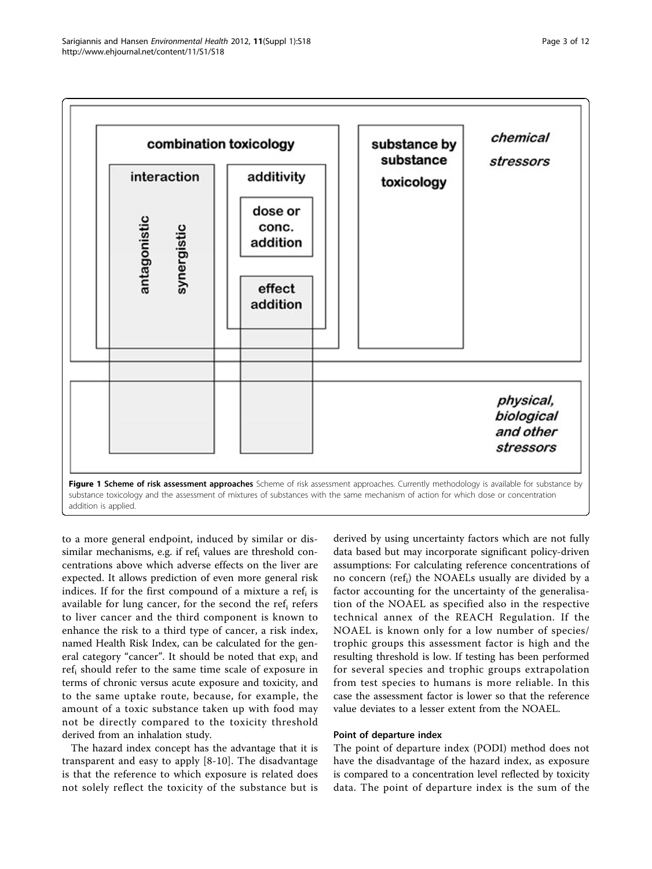<span id="page-2-0"></span>

to a more general endpoint, induced by similar or dissimilar mechanisms, e.g. if ref<sub>i</sub> values are threshold concentrations above which adverse effects on the liver are expected. It allows prediction of even more general risk indices. If for the first compound of a mixture a ref<sub>i</sub> is available for lung cancer, for the second the ref<sub>i</sub> refers to liver cancer and the third component is known to enhance the risk to a third type of cancer, a risk index, named Health Risk Index, can be calculated for the general category "cancer". It should be noted that  $\exp_i$  and refi should refer to the same time scale of exposure in terms of chronic versus acute exposure and toxicity, and to the same uptake route, because, for example, the amount of a toxic substance taken up with food may not be directly compared to the toxicity threshold derived from an inhalation study.

The hazard index concept has the advantage that it is transparent and easy to apply [[8](#page-10-0)-[10\]](#page-10-0). The disadvantage is that the reference to which exposure is related does not solely reflect the toxicity of the substance but is

derived by using uncertainty factors which are not fully data based but may incorporate significant policy-driven assumptions: For calculating reference concentrations of no concern (refi) the NOAELs usually are divided by a factor accounting for the uncertainty of the generalisation of the NOAEL as specified also in the respective technical annex of the REACH Regulation. If the NOAEL is known only for a low number of species/ trophic groups this assessment factor is high and the resulting threshold is low. If testing has been performed for several species and trophic groups extrapolation from test species to humans is more reliable. In this case the assessment factor is lower so that the reference value deviates to a lesser extent from the NOAEL.

#### Point of departure index

The point of departure index (PODI) method does not have the disadvantage of the hazard index, as exposure is compared to a concentration level reflected by toxicity data. The point of departure index is the sum of the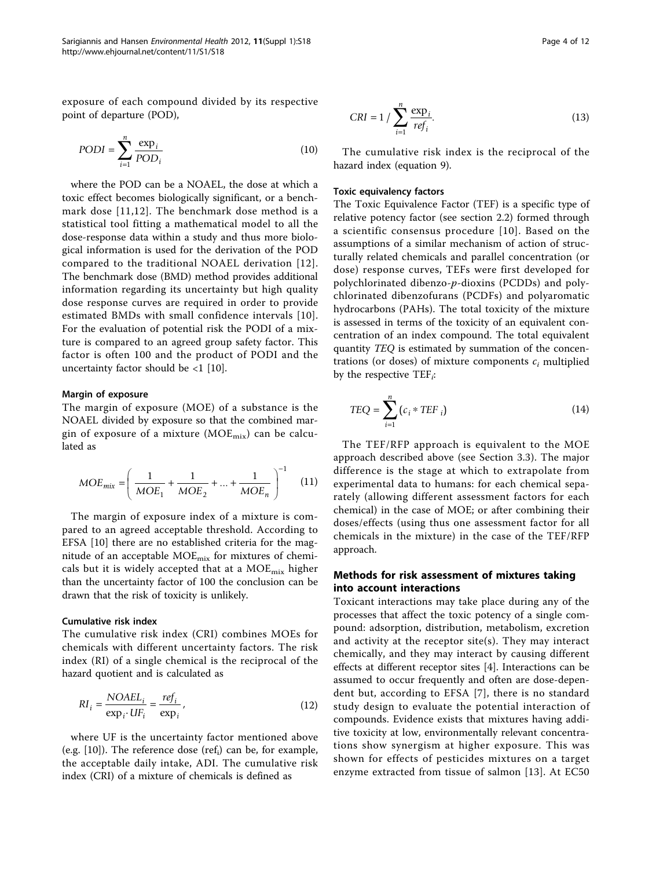exposure of each compound divided by its respective point of departure (POD),

$$
PODI = \sum_{i=1}^{n} \frac{\exp_i}{POD_i}
$$
 (10)

where the POD can be a NOAEL, the dose at which a toxic effect becomes biologically significant, or a benchmark dose [[11,12\]](#page-11-0). The benchmark dose method is a statistical tool fitting a mathematical model to all the dose-response data within a study and thus more biological information is used for the derivation of the POD compared to the traditional NOAEL derivation [[12\]](#page-11-0). The benchmark dose (BMD) method provides additional information regarding its uncertainty but high quality dose response curves are required in order to provide estimated BMDs with small confidence intervals [[10\]](#page-10-0). For the evaluation of potential risk the PODI of a mixture is compared to an agreed group safety factor. This factor is often 100 and the product of PODI and the uncertainty factor should be <1 [\[10](#page-10-0)].

#### Margin of exposure

The margin of exposure (MOE) of a substance is the NOAEL divided by exposure so that the combined margin of exposure of a mixture  $(MOE<sub>mix</sub>)$  can be calculated as

$$
MOE_{mix} = \left(\frac{1}{MOE_1} + \frac{1}{MOE_2} + ... + \frac{1}{MOE_n}\right)^{-1}
$$
 (11)

The margin of exposure index of a mixture is compared to an agreed acceptable threshold. According to EFSA [[10\]](#page-10-0) there are no established criteria for the magnitude of an acceptable  $MOE<sub>mix</sub>$  for mixtures of chemicals but it is widely accepted that at a  $\text{MOE}_{\text{mix}}$  higher than the uncertainty factor of 100 the conclusion can be drawn that the risk of toxicity is unlikely.

#### Cumulative risk index

The cumulative risk index (CRI) combines MOEs for chemicals with different uncertainty factors. The risk index (RI) of a single chemical is the reciprocal of the hazard quotient and is calculated as

$$
RI_i = \frac{NOAEL_i}{\exp_i \cdot UF_i} = \frac{ref_i}{\exp_i},\tag{12}
$$

where UF is the uncertainty factor mentioned above (e.g.  $[10]$  $[10]$ ). The reference dose (ref<sub>i</sub>) can be, for example, the acceptable daily intake, ADI. The cumulative risk index (CRI) of a mixture of chemicals is defined as

$$
CRI = 1 / \sum_{i=1}^{n} \frac{\exp_i}{ref_i}.
$$
 (13)

The cumulative risk index is the reciprocal of the hazard index (equation 9).

#### Toxic equivalency factors

The Toxic Equivalence Factor (TEF) is a specific type of relative potency factor (see section 2.2) formed through a scientific consensus procedure [\[10](#page-10-0)]. Based on the assumptions of a similar mechanism of action of structurally related chemicals and parallel concentration (or dose) response curves, TEFs were first developed for polychlorinated dibenzo-p-dioxins (PCDDs) and polychlorinated dibenzofurans (PCDFs) and polyaromatic hydrocarbons (PAHs). The total toxicity of the mixture is assessed in terms of the toxicity of an equivalent concentration of an index compound. The total equivalent quantity TEQ is estimated by summation of the concentrations (or doses) of mixture components  $c_i$  multiplied by the respective  $\text{TEF}_i$ :

$$
TEQ = \sum_{i=1}^{n} (c_i * TEF_i)
$$
 (14)

The TEF/RFP approach is equivalent to the MOE approach described above (see Section 3.3). The major difference is the stage at which to extrapolate from experimental data to humans: for each chemical separately (allowing different assessment factors for each chemical) in the case of MOE; or after combining their doses/effects (using thus one assessment factor for all chemicals in the mixture) in the case of the TEF/RFP approach.

## Methods for risk assessment of mixtures taking into account interactions

Toxicant interactions may take place during any of the processes that affect the toxic potency of a single compound: adsorption, distribution, metabolism, excretion and activity at the receptor site(s). They may interact chemically, and they may interact by causing different effects at different receptor sites [\[4](#page-10-0)]. Interactions can be assumed to occur frequently and often are dose-dependent but, according to EFSA [\[7](#page-10-0)], there is no standard study design to evaluate the potential interaction of compounds. Evidence exists that mixtures having additive toxicity at low, environmentally relevant concentrations show synergism at higher exposure. This was shown for effects of pesticides mixtures on a target enzyme extracted from tissue of salmon [[13](#page-11-0)]. At EC50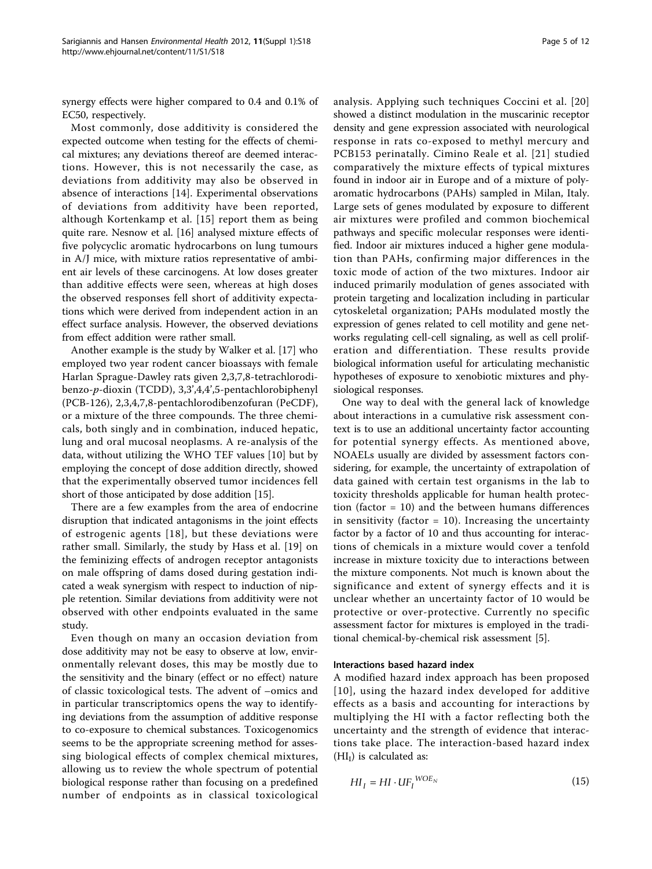synergy effects were higher compared to 0.4 and 0.1% of EC50, respectively.

Most commonly, dose additivity is considered the expected outcome when testing for the effects of chemical mixtures; any deviations thereof are deemed interactions. However, this is not necessarily the case, as deviations from additivity may also be observed in absence of interactions [\[14](#page-11-0)]. Experimental observations of deviations from additivity have been reported, although Kortenkamp et al. [[15\]](#page-11-0) report them as being quite rare. Nesnow et al. [\[16](#page-11-0)] analysed mixture effects of five polycyclic aromatic hydrocarbons on lung tumours in A/J mice, with mixture ratios representative of ambient air levels of these carcinogens. At low doses greater than additive effects were seen, whereas at high doses the observed responses fell short of additivity expectations which were derived from independent action in an effect surface analysis. However, the observed deviations from effect addition were rather small.

Another example is the study by Walker et al. [[17](#page-11-0)] who employed two year rodent cancer bioassays with female Harlan Sprague-Dawley rats given 2,3,7,8-tetrachlorodibenzo-p-dioxin (TCDD), 3,3',4,4',5-pentachlorobiphenyl (PCB-126), 2,3,4,7,8-pentachlorodibenzofuran (PeCDF), or a mixture of the three compounds. The three chemicals, both singly and in combination, induced hepatic, lung and oral mucosal neoplasms. A re-analysis of the data, without utilizing the WHO TEF values [[10](#page-10-0)] but by employing the concept of dose addition directly, showed that the experimentally observed tumor incidences fell short of those anticipated by dose addition [[15](#page-11-0)].

There are a few examples from the area of endocrine disruption that indicated antagonisms in the joint effects of estrogenic agents [[18](#page-11-0)], but these deviations were rather small. Similarly, the study by Hass et al. [[19](#page-11-0)] on the feminizing effects of androgen receptor antagonists on male offspring of dams dosed during gestation indicated a weak synergism with respect to induction of nipple retention. Similar deviations from additivity were not observed with other endpoints evaluated in the same study.

Even though on many an occasion deviation from dose additivity may not be easy to observe at low, environmentally relevant doses, this may be mostly due to the sensitivity and the binary (effect or no effect) nature of classic toxicological tests. The advent of –omics and in particular transcriptomics opens the way to identifying deviations from the assumption of additive response to co-exposure to chemical substances. Toxicogenomics seems to be the appropriate screening method for assessing biological effects of complex chemical mixtures, allowing us to review the whole spectrum of potential biological response rather than focusing on a predefined number of endpoints as in classical toxicological analysis. Applying such techniques Coccini et al. [[20](#page-11-0)] showed a distinct modulation in the muscarinic receptor density and gene expression associated with neurological response in rats co-exposed to methyl mercury and PCB153 perinatally. Cimino Reale et al. [[21\]](#page-11-0) studied comparatively the mixture effects of typical mixtures found in indoor air in Europe and of a mixture of polyaromatic hydrocarbons (PAHs) sampled in Milan, Italy. Large sets of genes modulated by exposure to different air mixtures were profiled and common biochemical pathways and specific molecular responses were identified. Indoor air mixtures induced a higher gene modulation than PAHs, confirming major differences in the toxic mode of action of the two mixtures. Indoor air induced primarily modulation of genes associated with protein targeting and localization including in particular cytoskeletal organization; PAHs modulated mostly the expression of genes related to cell motility and gene networks regulating cell-cell signaling, as well as cell proliferation and differentiation. These results provide biological information useful for articulating mechanistic hypotheses of exposure to xenobiotic mixtures and physiological responses.

One way to deal with the general lack of knowledge about interactions in a cumulative risk assessment context is to use an additional uncertainty factor accounting for potential synergy effects. As mentioned above, NOAELs usually are divided by assessment factors considering, for example, the uncertainty of extrapolation of data gained with certain test organisms in the lab to toxicity thresholds applicable for human health protection (factor = 10) and the between humans differences in sensitivity (factor  $= 10$ ). Increasing the uncertainty factor by a factor of 10 and thus accounting for interactions of chemicals in a mixture would cover a tenfold increase in mixture toxicity due to interactions between the mixture components. Not much is known about the significance and extent of synergy effects and it is unclear whether an uncertainty factor of 10 would be protective or over-protective. Currently no specific assessment factor for mixtures is employed in the traditional chemical-by-chemical risk assessment [\[5](#page-10-0)].

#### Interactions based hazard index

A modified hazard index approach has been proposed [[10](#page-10-0)], using the hazard index developed for additive effects as a basis and accounting for interactions by multiplying the HI with a factor reflecting both the uncertainty and the strength of evidence that interactions take place. The interaction-based hazard index  $(HI<sub>I</sub>)$  is calculated as:

$$
HI_I = HI \cdot UF_I^{WOE_N} \tag{15}
$$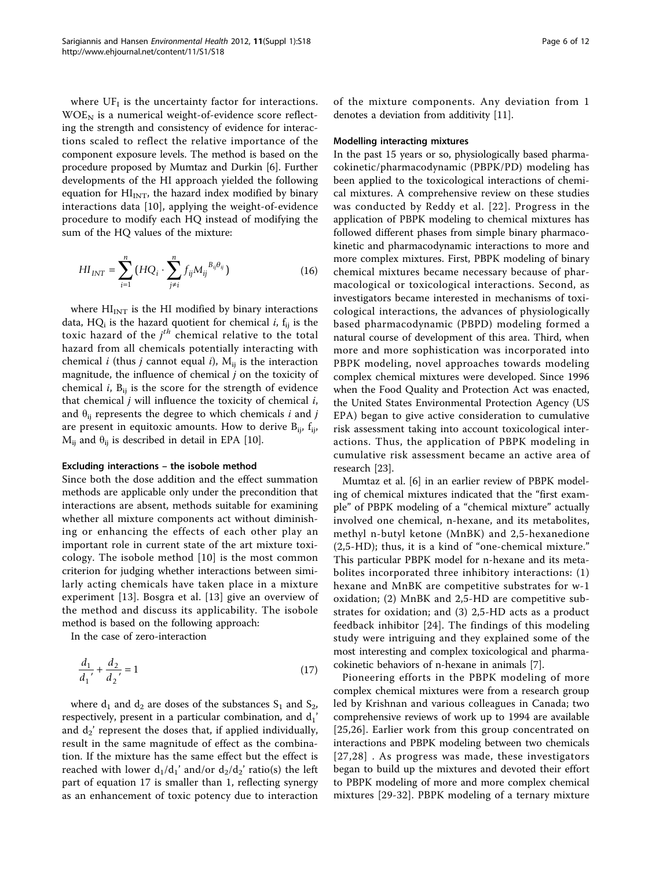where  $UF<sub>I</sub>$  is the uncertainty factor for interactions.  $WOE<sub>N</sub>$  is a numerical weight-of-evidence score reflecting the strength and consistency of evidence for interactions scaled to reflect the relative importance of the component exposure levels. The method is based on the procedure proposed by Mumtaz and Durkin [\[6](#page-10-0)]. Further developments of the HI approach yielded the following equation for  $HI<sub>INT</sub>$ , the hazard index modified by binary interactions data [[10](#page-10-0)], applying the weight-of-evidence procedure to modify each HQ instead of modifying the sum of the HQ values of the mixture:

$$
HI_{INT} = \sum_{i=1}^{n} (HQ_i \cdot \sum_{j \neq i}^{n} f_{ij} M_{ij}^{B_{ij}\theta_{ij}})
$$
 (16)

where  $HI<sub>INT</sub>$  is the HI modified by binary interactions data,  $HQ_i$  is the hazard quotient for chemical i,  $f_{ii}$  is the toxic hazard of the  $j^{th}$  chemical relative to the total hazard from all chemicals potentially interacting with chemical *i* (thus *j* cannot equal *i*),  $M_{ij}$  is the interaction magnitude, the influence of chemical  $j$  on the toxicity of chemical  $i$ ,  $B_{ij}$  is the score for the strength of evidence that chemical  $j$  will influence the toxicity of chemical  $i$ , and  $\theta_{ii}$  represents the degree to which chemicals *i* and *j* are present in equitoxic amounts. How to derive  $B_{ii}$ ,  $f_{ii}$ ,  $M_{ij}$  and  $\theta_{ij}$  is described in detail in EPA [[10\]](#page-10-0).

#### Excluding interactions – the isobole method

Since both the dose addition and the effect summation methods are applicable only under the precondition that interactions are absent, methods suitable for examining whether all mixture components act without diminishing or enhancing the effects of each other play an important role in current state of the art mixture toxicology. The isobole method [[10](#page-10-0)] is the most common criterion for judging whether interactions between similarly acting chemicals have taken place in a mixture experiment [\[13\]](#page-11-0). Bosgra et al. [[13\]](#page-11-0) give an overview of the method and discuss its applicability. The isobole method is based on the following approach:

In the case of zero-interaction

$$
\frac{d_1}{d_1'} + \frac{d_2}{d_2'} = 1\tag{17}
$$

where  $d_1$  and  $d_2$  are doses of the substances  $S_1$  and  $S_2$ , respectively, present in a particular combination, and  $d_1$ ' and  $d_2$ ' represent the doses that, if applied individually, result in the same magnitude of effect as the combination. If the mixture has the same effect but the effect is reached with lower  $d_1/d_1$ ' and/or  $d_2/d_2$ ' ratio(s) the left part of equation 17 is smaller than 1, reflecting synergy as an enhancement of toxic potency due to interaction of the mixture components. Any deviation from 1 denotes a deviation from additivity [\[11\]](#page-11-0).

#### Modelling interacting mixtures

In the past 15 years or so, physiologically based pharmacokinetic/pharmacodynamic (PBPK/PD) modeling has been applied to the toxicological interactions of chemical mixtures. A comprehensive review on these studies was conducted by Reddy et al. [[22\]](#page-11-0). Progress in the application of PBPK modeling to chemical mixtures has followed different phases from simple binary pharmacokinetic and pharmacodynamic interactions to more and more complex mixtures. First, PBPK modeling of binary chemical mixtures became necessary because of pharmacological or toxicological interactions. Second, as investigators became interested in mechanisms of toxicological interactions, the advances of physiologically based pharmacodynamic (PBPD) modeling formed a natural course of development of this area. Third, when more and more sophistication was incorporated into PBPK modeling, novel approaches towards modeling complex chemical mixtures were developed. Since 1996 when the Food Quality and Protection Act was enacted, the United States Environmental Protection Agency (US EPA) began to give active consideration to cumulative risk assessment taking into account toxicological interactions. Thus, the application of PBPK modeling in cumulative risk assessment became an active area of research [[23\]](#page-11-0).

Mumtaz et al. [[6\]](#page-10-0) in an earlier review of PBPK modeling of chemical mixtures indicated that the "first example" of PBPK modeling of a "chemical mixture" actually involved one chemical, n-hexane, and its metabolites, methyl n-butyl ketone (MnBK) and 2,5-hexanedione (2,5-HD); thus, it is a kind of "one-chemical mixture." This particular PBPK model for n-hexane and its metabolites incorporated three inhibitory interactions: (1) hexane and MnBK are competitive substrates for w-1 oxidation; (2) MnBK and 2,5-HD are competitive substrates for oxidation; and (3) 2,5-HD acts as a product feedback inhibitor [[24](#page-11-0)]. The findings of this modeling study were intriguing and they explained some of the most interesting and complex toxicological and pharmacokinetic behaviors of n-hexane in animals [\[7](#page-10-0)].

Pioneering efforts in the PBPK modeling of more complex chemical mixtures were from a research group led by Krishnan and various colleagues in Canada; two comprehensive reviews of work up to 1994 are available [[25](#page-11-0),[26\]](#page-11-0). Earlier work from this group concentrated on interactions and PBPK modeling between two chemicals [[27](#page-11-0),[28](#page-11-0)] . As progress was made, these investigators began to build up the mixtures and devoted their effort to PBPK modeling of more and more complex chemical mixtures [[29-32\]](#page-11-0). PBPK modeling of a ternary mixture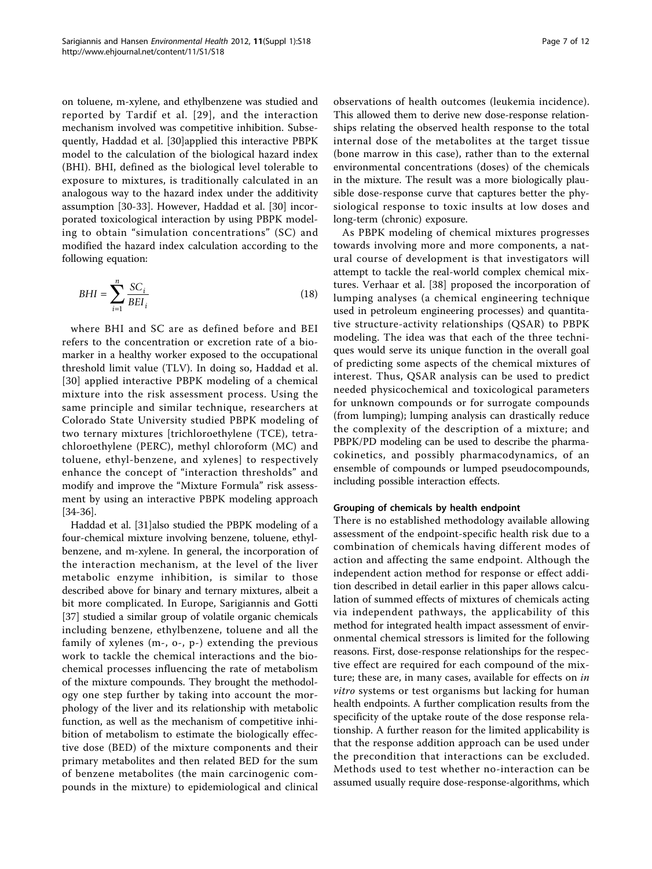on toluene, m-xylene, and ethylbenzene was studied and reported by Tardif et al. [[29\]](#page-11-0), and the interaction mechanism involved was competitive inhibition. Subsequently, Haddad et al. [[30\]](#page-11-0)applied this interactive PBPK model to the calculation of the biological hazard index (BHI). BHI, defined as the biological level tolerable to exposure to mixtures, is traditionally calculated in an analogous way to the hazard index under the additivity assumption [[30-33\]](#page-11-0). However, Haddad et al. [[30\]](#page-11-0) incorporated toxicological interaction by using PBPK modeling to obtain "simulation concentrations" (SC) and modified the hazard index calculation according to the following equation:

$$
BHI = \sum_{i=1}^{n} \frac{SC_i}{BEL_i}
$$
 (18)

where BHI and SC are as defined before and BEI refers to the concentration or excretion rate of a biomarker in a healthy worker exposed to the occupational threshold limit value (TLV). In doing so, Haddad et al. [[30](#page-11-0)] applied interactive PBPK modeling of a chemical mixture into the risk assessment process. Using the same principle and similar technique, researchers at Colorado State University studied PBPK modeling of two ternary mixtures [trichloroethylene (TCE), tetrachloroethylene (PERC), methyl chloroform (MC) and toluene, ethyl-benzene, and xylenes] to respectively enhance the concept of "interaction thresholds" and modify and improve the "Mixture Formula" risk assessment by using an interactive PBPK modeling approach [[34-36\]](#page-11-0).

Haddad et al. [\[31\]](#page-11-0)also studied the PBPK modeling of a four-chemical mixture involving benzene, toluene, ethylbenzene, and m-xylene. In general, the incorporation of the interaction mechanism, at the level of the liver metabolic enzyme inhibition, is similar to those described above for binary and ternary mixtures, albeit a bit more complicated. In Europe, Sarigiannis and Gotti [[37\]](#page-11-0) studied a similar group of volatile organic chemicals including benzene, ethylbenzene, toluene and all the family of xylenes (m-, o-, p-) extending the previous work to tackle the chemical interactions and the biochemical processes influencing the rate of metabolism of the mixture compounds. They brought the methodology one step further by taking into account the morphology of the liver and its relationship with metabolic function, as well as the mechanism of competitive inhibition of metabolism to estimate the biologically effective dose (BED) of the mixture components and their primary metabolites and then related BED for the sum of benzene metabolites (the main carcinogenic compounds in the mixture) to epidemiological and clinical

observations of health outcomes (leukemia incidence). This allowed them to derive new dose-response relationships relating the observed health response to the total internal dose of the metabolites at the target tissue (bone marrow in this case), rather than to the external environmental concentrations (doses) of the chemicals in the mixture. The result was a more biologically plausible dose-response curve that captures better the physiological response to toxic insults at low doses and long-term (chronic) exposure.

As PBPK modeling of chemical mixtures progresses towards involving more and more components, a natural course of development is that investigators will attempt to tackle the real-world complex chemical mixtures. Verhaar et al. [\[38](#page-11-0)] proposed the incorporation of lumping analyses (a chemical engineering technique used in petroleum engineering processes) and quantitative structure-activity relationships (QSAR) to PBPK modeling. The idea was that each of the three techniques would serve its unique function in the overall goal of predicting some aspects of the chemical mixtures of interest. Thus, QSAR analysis can be used to predict needed physicochemical and toxicological parameters for unknown compounds or for surrogate compounds (from lumping); lumping analysis can drastically reduce the complexity of the description of a mixture; and PBPK/PD modeling can be used to describe the pharmacokinetics, and possibly pharmacodynamics, of an ensemble of compounds or lumped pseudocompounds, including possible interaction effects.

#### Grouping of chemicals by health endpoint

There is no established methodology available allowing assessment of the endpoint-specific health risk due to a combination of chemicals having different modes of action and affecting the same endpoint. Although the independent action method for response or effect addition described in detail earlier in this paper allows calculation of summed effects of mixtures of chemicals acting via independent pathways, the applicability of this method for integrated health impact assessment of environmental chemical stressors is limited for the following reasons. First, dose-response relationships for the respective effect are required for each compound of the mixture; these are, in many cases, available for effects on in vitro systems or test organisms but lacking for human health endpoints. A further complication results from the specificity of the uptake route of the dose response relationship. A further reason for the limited applicability is that the response addition approach can be used under the precondition that interactions can be excluded. Methods used to test whether no-interaction can be assumed usually require dose-response-algorithms, which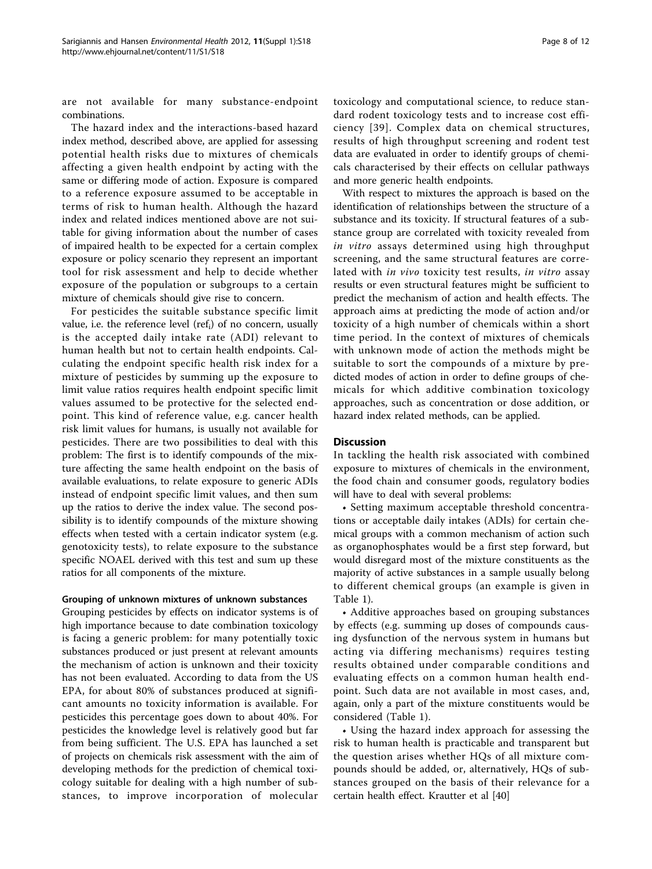are not available for many substance-endpoint combinations.

The hazard index and the interactions-based hazard index method, described above, are applied for assessing potential health risks due to mixtures of chemicals affecting a given health endpoint by acting with the same or differing mode of action. Exposure is compared to a reference exposure assumed to be acceptable in terms of risk to human health. Although the hazard index and related indices mentioned above are not suitable for giving information about the number of cases of impaired health to be expected for a certain complex exposure or policy scenario they represent an important tool for risk assessment and help to decide whether exposure of the population or subgroups to a certain mixture of chemicals should give rise to concern.

For pesticides the suitable substance specific limit value, i.e. the reference level (ref<sub>i</sub>) of no concern, usually is the accepted daily intake rate (ADI) relevant to human health but not to certain health endpoints. Calculating the endpoint specific health risk index for a mixture of pesticides by summing up the exposure to limit value ratios requires health endpoint specific limit values assumed to be protective for the selected endpoint. This kind of reference value, e.g. cancer health risk limit values for humans, is usually not available for pesticides. There are two possibilities to deal with this problem: The first is to identify compounds of the mixture affecting the same health endpoint on the basis of available evaluations, to relate exposure to generic ADIs instead of endpoint specific limit values, and then sum up the ratios to derive the index value. The second possibility is to identify compounds of the mixture showing effects when tested with a certain indicator system (e.g. genotoxicity tests), to relate exposure to the substance specific NOAEL derived with this test and sum up these ratios for all components of the mixture.

#### Grouping of unknown mixtures of unknown substances

Grouping pesticides by effects on indicator systems is of high importance because to date combination toxicology is facing a generic problem: for many potentially toxic substances produced or just present at relevant amounts the mechanism of action is unknown and their toxicity has not been evaluated. According to data from the US EPA, for about 80% of substances produced at significant amounts no toxicity information is available. For pesticides this percentage goes down to about 40%. For pesticides the knowledge level is relatively good but far from being sufficient. The U.S. EPA has launched a set of projects on chemicals risk assessment with the aim of developing methods for the prediction of chemical toxicology suitable for dealing with a high number of substances, to improve incorporation of molecular

toxicology and computational science, to reduce standard rodent toxicology tests and to increase cost efficiency [[39\]](#page-11-0). Complex data on chemical structures, results of high throughput screening and rodent test data are evaluated in order to identify groups of chemicals characterised by their effects on cellular pathways and more generic health endpoints.

With respect to mixtures the approach is based on the identification of relationships between the structure of a substance and its toxicity. If structural features of a substance group are correlated with toxicity revealed from in vitro assays determined using high throughput screening, and the same structural features are correlated with in vivo toxicity test results, in vitro assay results or even structural features might be sufficient to predict the mechanism of action and health effects. The approach aims at predicting the mode of action and/or toxicity of a high number of chemicals within a short time period. In the context of mixtures of chemicals with unknown mode of action the methods might be suitable to sort the compounds of a mixture by predicted modes of action in order to define groups of chemicals for which additive combination toxicology approaches, such as concentration or dose addition, or hazard index related methods, can be applied.

#### Discussion

In tackling the health risk associated with combined exposure to mixtures of chemicals in the environment, the food chain and consumer goods, regulatory bodies will have to deal with several problems:

• Setting maximum acceptable threshold concentrations or acceptable daily intakes (ADIs) for certain chemical groups with a common mechanism of action such as organophosphates would be a first step forward, but would disregard most of the mixture constituents as the majority of active substances in a sample usually belong to different chemical groups (an example is given in Table [1\)](#page-8-0).

• Additive approaches based on grouping substances by effects (e.g. summing up doses of compounds causing dysfunction of the nervous system in humans but acting via differing mechanisms) requires testing results obtained under comparable conditions and evaluating effects on a common human health endpoint. Such data are not available in most cases, and, again, only a part of the mixture constituents would be considered (Table [1](#page-8-0)).

• Using the hazard index approach for assessing the risk to human health is practicable and transparent but the question arises whether HQs of all mixture compounds should be added, or, alternatively, HQs of substances grouped on the basis of their relevance for a certain health effect. Krautter et al [[40\]](#page-11-0)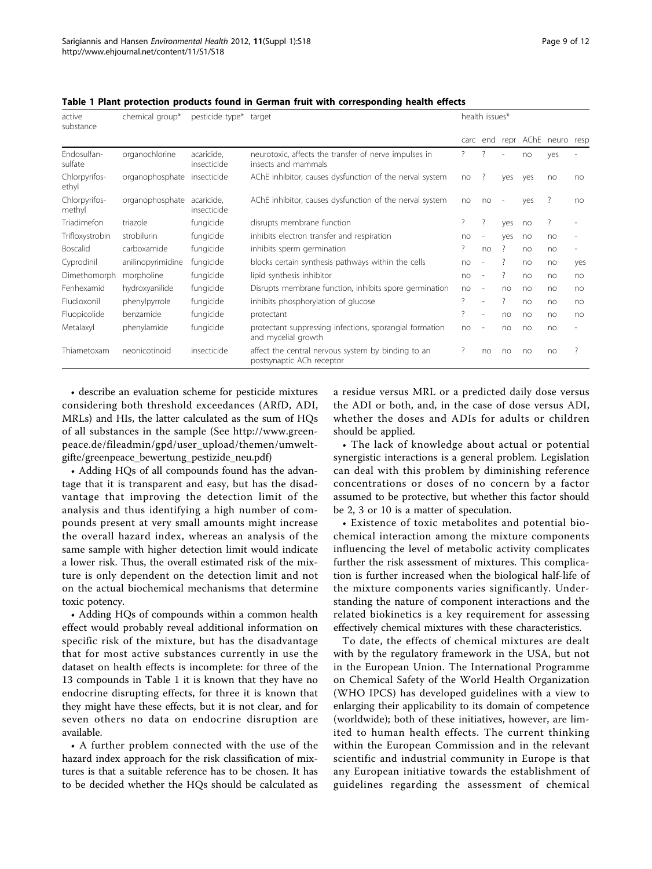| active<br>substance     | chemical group*   | pesticide type*           | target                                                                          | health issues*           |                          |                          |     |                 |                |
|-------------------------|-------------------|---------------------------|---------------------------------------------------------------------------------|--------------------------|--------------------------|--------------------------|-----|-----------------|----------------|
|                         |                   |                           |                                                                                 | carc                     | end                      |                          |     | repr AChE neuro | resp           |
| Endosulfan-<br>sulfate  | organochlorine    | acaricide,<br>insecticide | neurotoxic, affects the transfer of nerve impulses in<br>insects and mammals    | $\overline{\phantom{a}}$ | $\overline{\phantom{a}}$ |                          | no  | yes             |                |
| Chlorpyrifos-<br>ethyl  | organophosphate   | insecticide               | AChE inhibitor, causes dysfunction of the nerval system                         | no                       | -?                       | yes                      | yes | no              | no             |
| Chlorpyrifos-<br>methyl | organophosphate   | acaricide.<br>insecticide | AChE inhibitor, causes dysfunction of the nerval system                         | no                       | no                       | $\overline{\phantom{a}}$ | yes | ?               | no             |
| Triadimefon             | triazole          | fungicide                 | disrupts membrane function                                                      | ?                        | ?                        | yes                      | no  | ?               |                |
| Trifloxystrobin         | strobilurin       | fungicide                 | inhibits electron transfer and respiration                                      | no                       | $\overline{\phantom{a}}$ | yes                      | no  | no              |                |
| Boscalid                | carboxamide       | fungicide                 | inhibits sperm germination                                                      |                          | no                       | ?                        | no  | no              |                |
| Cyprodinil              | anilinopyrimidine | fungicide                 | blocks certain synthesis pathways within the cells                              | no                       | $\overline{\phantom{a}}$ | ?                        | no  | no              | yes            |
| Dimethomorph            | morpholine        | fungicide                 | lipid synthesis inhibitor                                                       | no                       | $\overline{\phantom{a}}$ | ?                        | no  | no              | no             |
| Fenhexamid              | hydroxyanilide    | fungicide                 | Disrupts membrane function, inhibits spore germination                          | no                       | $\overline{\phantom{a}}$ | no                       | no  | no              | no             |
| Fludioxonil             | phenylpyrrole     | fungicide                 | inhibits phosphorylation of glucose                                             |                          | $\overline{\phantom{a}}$ | ?                        | no  | no              | no             |
| Fluopicolide            | benzamide         | fungicide                 | protectant                                                                      |                          | $\overline{\phantom{a}}$ | no                       | no  | no              | n <sub>o</sub> |
| Metalaxyl               | phenylamide       | fungicide                 | protectant suppressing infections, sporangial formation<br>and mycelial growth  | n <sub>O</sub>           |                          | no                       | no  | no              |                |
| Thiametoxam             | neonicotinoid     | insecticide               | affect the central nervous system by binding to an<br>postsynaptic ACh receptor | ?                        | no                       | no                       | no  | no              | ?              |

<span id="page-8-0"></span>Table 1 Plant protection products found in German fruit with corresponding health effects

• describe an evaluation scheme for pesticide mixtures considering both threshold exceedances (ARfD, ADI, MRLs) and HIs, the latter calculated as the sum of HQs of all substances in the sample (See [http://www.green](http://www.greenpeace.de/fileadmin/gpd/user_upload/themen/umweltgifte/greenpeace_bewertung_pestizide_neu.pdf)[peace.de/fileadmin/gpd/user\\_upload/themen/umwelt](http://www.greenpeace.de/fileadmin/gpd/user_upload/themen/umweltgifte/greenpeace_bewertung_pestizide_neu.pdf)[gifte/greenpeace\\_bewertung\\_pestizide\\_neu.pdf\)](http://www.greenpeace.de/fileadmin/gpd/user_upload/themen/umweltgifte/greenpeace_bewertung_pestizide_neu.pdf)

• Adding HQs of all compounds found has the advantage that it is transparent and easy, but has the disadvantage that improving the detection limit of the analysis and thus identifying a high number of compounds present at very small amounts might increase the overall hazard index, whereas an analysis of the same sample with higher detection limit would indicate a lower risk. Thus, the overall estimated risk of the mixture is only dependent on the detection limit and not on the actual biochemical mechanisms that determine toxic potency.

• Adding HQs of compounds within a common health effect would probably reveal additional information on specific risk of the mixture, but has the disadvantage that for most active substances currently in use the dataset on health effects is incomplete: for three of the 13 compounds in Table 1 it is known that they have no endocrine disrupting effects, for three it is known that they might have these effects, but it is not clear, and for seven others no data on endocrine disruption are available.

• A further problem connected with the use of the hazard index approach for the risk classification of mixtures is that a suitable reference has to be chosen. It has to be decided whether the HQs should be calculated as a residue versus MRL or a predicted daily dose versus the ADI or both, and, in the case of dose versus ADI, whether the doses and ADIs for adults or children should be applied.

• The lack of knowledge about actual or potential synergistic interactions is a general problem. Legislation can deal with this problem by diminishing reference concentrations or doses of no concern by a factor assumed to be protective, but whether this factor should be 2, 3 or 10 is a matter of speculation.

• Existence of toxic metabolites and potential biochemical interaction among the mixture components influencing the level of metabolic activity complicates further the risk assessment of mixtures. This complication is further increased when the biological half-life of the mixture components varies significantly. Understanding the nature of component interactions and the related biokinetics is a key requirement for assessing effectively chemical mixtures with these characteristics.

To date, the effects of chemical mixtures are dealt with by the regulatory framework in the USA, but not in the European Union. The International Programme on Chemical Safety of the World Health Organization (WHO IPCS) has developed guidelines with a view to enlarging their applicability to its domain of competence (worldwide); both of these initiatives, however, are limited to human health effects. The current thinking within the European Commission and in the relevant scientific and industrial community in Europe is that any European initiative towards the establishment of guidelines regarding the assessment of chemical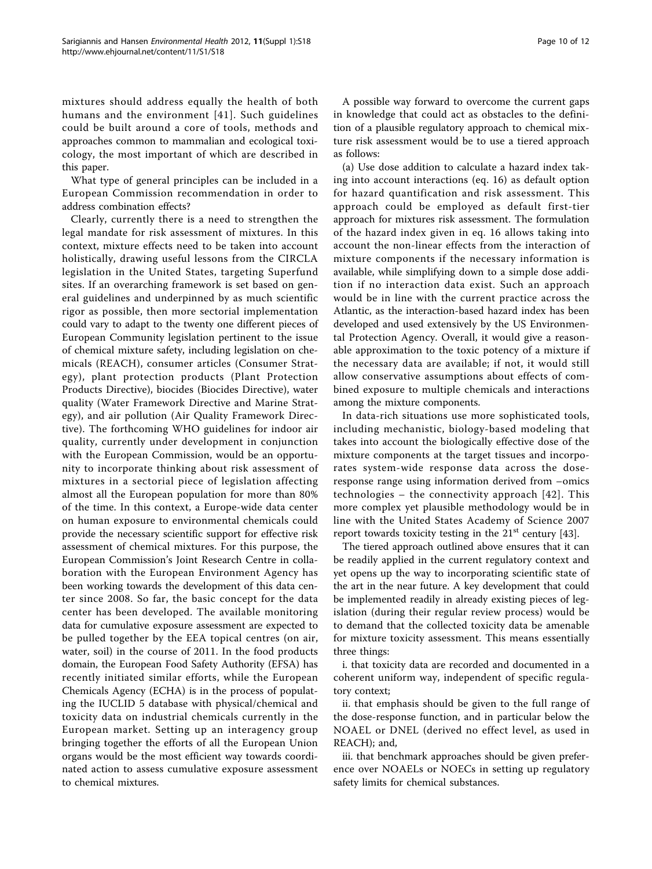mixtures should address equally the health of both humans and the environment [[41\]](#page-11-0). Such guidelines could be built around a core of tools, methods and approaches common to mammalian and ecological toxicology, the most important of which are described in this paper.

What type of general principles can be included in a European Commission recommendation in order to address combination effects?

Clearly, currently there is a need to strengthen the legal mandate for risk assessment of mixtures. In this context, mixture effects need to be taken into account holistically, drawing useful lessons from the CIRCLA legislation in the United States, targeting Superfund sites. If an overarching framework is set based on general guidelines and underpinned by as much scientific rigor as possible, then more sectorial implementation could vary to adapt to the twenty one different pieces of European Community legislation pertinent to the issue of chemical mixture safety, including legislation on chemicals (REACH), consumer articles (Consumer Strategy), plant protection products (Plant Protection Products Directive), biocides (Biocides Directive), water quality (Water Framework Directive and Marine Strategy), and air pollution (Air Quality Framework Directive). The forthcoming WHO guidelines for indoor air quality, currently under development in conjunction with the European Commission, would be an opportunity to incorporate thinking about risk assessment of mixtures in a sectorial piece of legislation affecting almost all the European population for more than 80% of the time. In this context, a Europe-wide data center on human exposure to environmental chemicals could provide the necessary scientific support for effective risk assessment of chemical mixtures. For this purpose, the European Commission's Joint Research Centre in collaboration with the European Environment Agency has been working towards the development of this data center since 2008. So far, the basic concept for the data center has been developed. The available monitoring data for cumulative exposure assessment are expected to be pulled together by the EEA topical centres (on air, water, soil) in the course of 2011. In the food products domain, the European Food Safety Authority (EFSA) has recently initiated similar efforts, while the European Chemicals Agency (ECHA) is in the process of populating the IUCLID 5 database with physical/chemical and toxicity data on industrial chemicals currently in the European market. Setting up an interagency group bringing together the efforts of all the European Union organs would be the most efficient way towards coordinated action to assess cumulative exposure assessment to chemical mixtures.

A possible way forward to overcome the current gaps in knowledge that could act as obstacles to the definition of a plausible regulatory approach to chemical mixture risk assessment would be to use a tiered approach as follows:

(a) Use dose addition to calculate a hazard index taking into account interactions (eq. 16) as default option for hazard quantification and risk assessment. This approach could be employed as default first-tier approach for mixtures risk assessment. The formulation of the hazard index given in eq. 16 allows taking into account the non-linear effects from the interaction of mixture components if the necessary information is available, while simplifying down to a simple dose addition if no interaction data exist. Such an approach would be in line with the current practice across the Atlantic, as the interaction-based hazard index has been developed and used extensively by the US Environmental Protection Agency. Overall, it would give a reasonable approximation to the toxic potency of a mixture if the necessary data are available; if not, it would still allow conservative assumptions about effects of combined exposure to multiple chemicals and interactions among the mixture components.

In data-rich situations use more sophisticated tools, including mechanistic, biology-based modeling that takes into account the biologically effective dose of the mixture components at the target tissues and incorporates system-wide response data across the doseresponse range using information derived from –omics technologies – the connectivity approach [[42](#page-11-0)]. This more complex yet plausible methodology would be in line with the United States Academy of Science 2007 report towards toxicity testing in the  $21<sup>st</sup>$  century [\[43](#page-11-0)].

The tiered approach outlined above ensures that it can be readily applied in the current regulatory context and yet opens up the way to incorporating scientific state of the art in the near future. A key development that could be implemented readily in already existing pieces of legislation (during their regular review process) would be to demand that the collected toxicity data be amenable for mixture toxicity assessment. This means essentially three things:

i. that toxicity data are recorded and documented in a coherent uniform way, independent of specific regulatory context;

ii. that emphasis should be given to the full range of the dose-response function, and in particular below the NOAEL or DNEL (derived no effect level, as used in REACH); and,

iii. that benchmark approaches should be given preference over NOAELs or NOECs in setting up regulatory safety limits for chemical substances.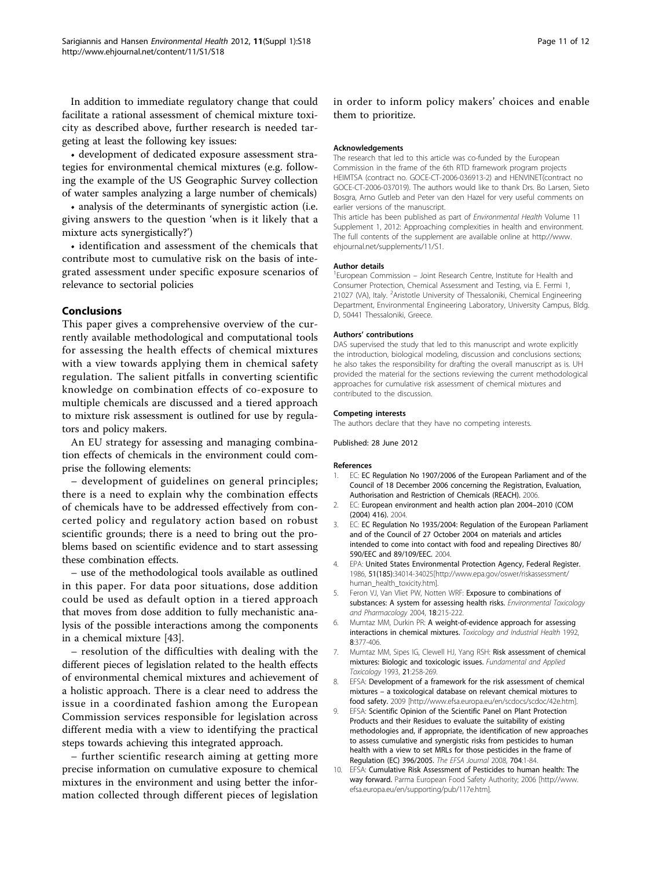<span id="page-10-0"></span>In addition to immediate regulatory change that could facilitate a rational assessment of chemical mixture toxicity as described above, further research is needed targeting at least the following key issues:

• development of dedicated exposure assessment strategies for environmental chemical mixtures (e.g. following the example of the US Geographic Survey collection of water samples analyzing a large number of chemicals)

• analysis of the determinants of synergistic action (i.e. giving answers to the question 'when is it likely that a mixture acts synergistically?')

• identification and assessment of the chemicals that contribute most to cumulative risk on the basis of integrated assessment under specific exposure scenarios of relevance to sectorial policies

### Conclusions

This paper gives a comprehensive overview of the currently available methodological and computational tools for assessing the health effects of chemical mixtures with a view towards applying them in chemical safety regulation. The salient pitfalls in converting scientific knowledge on combination effects of co-exposure to multiple chemicals are discussed and a tiered approach to mixture risk assessment is outlined for use by regulators and policy makers.

An EU strategy for assessing and managing combination effects of chemicals in the environment could comprise the following elements:

– development of guidelines on general principles; there is a need to explain why the combination effects of chemicals have to be addressed effectively from concerted policy and regulatory action based on robust scientific grounds; there is a need to bring out the problems based on scientific evidence and to start assessing these combination effects.

– use of the methodological tools available as outlined in this paper. For data poor situations, dose addition could be used as default option in a tiered approach that moves from dose addition to fully mechanistic analysis of the possible interactions among the components in a chemical mixture [\[43\]](#page-11-0).

– resolution of the difficulties with dealing with the different pieces of legislation related to the health effects of environmental chemical mixtures and achievement of a holistic approach. There is a clear need to address the issue in a coordinated fashion among the European Commission services responsible for legislation across different media with a view to identifying the practical steps towards achieving this integrated approach.

– further scientific research aiming at getting more precise information on cumulative exposure to chemical mixtures in the environment and using better the information collected through different pieces of legislation in order to inform policy makers' choices and enable them to prioritize.

#### Acknowledgements

The research that led to this article was co-funded by the European Commission in the frame of the 6th RTD framework program projects HEIMTSA (contract no. GOCE-CT-2006-036913-2) and HENVINET(contract no GOCE-CT-2006-037019). The authors would like to thank Drs. Bo Larsen, Sieto Bosgra, Arno Gutleb and Peter van den Hazel for very useful comments on earlier versions of the manuscript.

This article has been published as part of Environmental Health Volume 11 Supplement 1, 2012: Approaching complexities in health and environment. The full contents of the supplement are available online at [http://www.](http://www.ehjournal.net/supplements/11/S1) [ehjournal.net/supplements/11/S1](http://www.ehjournal.net/supplements/11/S1).

#### Author details

<sup>1</sup> European Commission - Joint Research Centre, Institute for Health and Consumer Protection, Chemical Assessment and Testing, via E. Fermi 1, 21027 (VA), Italy. <sup>2</sup> Aristotle University of Thessaloniki, Chemical Engineering Department, Environmental Engineering Laboratory, University Campus, Bldg. D, 50441 Thessaloniki, Greece.

#### Authors' contributions

DAS supervised the study that led to this manuscript and wrote explicitly the introduction, biological modeling, discussion and conclusions sections; he also takes the responsibility for drafting the overall manuscript as is. UH provided the material for the sections reviewing the current methodological approaches for cumulative risk assessment of chemical mixtures and contributed to the discussion.

#### Competing interests

The authors declare that they have no competing interests.

Published: 28 June 2012

#### References

- 1. EC: EC Regulation No 1907/2006 of the European Parliament and of the Council of 18 December 2006 concerning the Registration, Evaluation, Authorisation and Restriction of Chemicals (REACH). 2006.
- 2. EC: European environment and health action plan 2004–2010 (COM (2004) 416). 2004.
- 3. EC: EC Regulation No 1935/2004: Regulation of the European Parliament and of the Council of 27 October 2004 on materials and articles intended to come into contact with food and repealing Directives 80/ 590/EEC and 89/109/EEC. 2004.
- EPA: United States Environmental Protection Agency, Federal Register. 1986, 51(185):34014-34025[[http://www.epa.gov/oswer/riskassessment/](http://www.epa.gov/oswer/riskassessment/human_health_toxicity.htm) [human\\_health\\_toxicity.htm\]](http://www.epa.gov/oswer/riskassessment/human_health_toxicity.htm).
- 5. Feron VJ, Van Vliet PW, Notten WRF: [Exposure to combinations of](http://www.ncbi.nlm.nih.gov/pubmed/21782751?dopt=Abstract) [substances: A system for assessing health risks.](http://www.ncbi.nlm.nih.gov/pubmed/21782751?dopt=Abstract) Environmental Toxicology and Pharmacology 2004, 18:215-222.
- 6. Mumtaz MM, Durkin PR: [A weight-of-evidence approach for assessing](http://www.ncbi.nlm.nih.gov/pubmed/7570620?dopt=Abstract) [interactions in chemical mixtures.](http://www.ncbi.nlm.nih.gov/pubmed/7570620?dopt=Abstract) Toxicology and Industrial Health 1992, 8:377-406.
- 7. Mumtaz MM, Sipes IG, Clewell HJ, Yang RSH: [Risk assessment of chemical](http://www.ncbi.nlm.nih.gov/pubmed/8258379?dopt=Abstract) [mixtures: Biologic and toxicologic issues.](http://www.ncbi.nlm.nih.gov/pubmed/8258379?dopt=Abstract) Fundamental and Applied Toxicology 1993, 21:258-269.
- 8. EFSA: Development of a framework for the risk assessment of chemical mixtures – a toxicological database on relevant chemical mixtures to food safety. 2009 [[http://www.efsa.europa.eu/en/scdocs/scdoc/42e.htm\]](http://www.efsa.europa.eu/en/scdocs/scdoc/42e.htm).
- 9. EFSA: Scientific Opinion of the Scientific Panel on Plant Protection Products and their Residues to evaluate the suitability of existing methodologies and, if appropriate, the identification of new approaches to assess cumulative and synergistic risks from pesticides to human health with a view to set MRLs for those pesticides in the frame of Regulation (EC) 396/2005. The EFSA Journal 2008, 704:1-84.
- 10. EFSA: Cumulative Risk Assessment of Pesticides to human health: The way forward. Parma European Food Safety Authority; 2006 [\[http://www.](http://www.efsa.europa.eu/en/supporting/pub/117e.htm) [efsa.europa.eu/en/supporting/pub/117e.htm\]](http://www.efsa.europa.eu/en/supporting/pub/117e.htm).